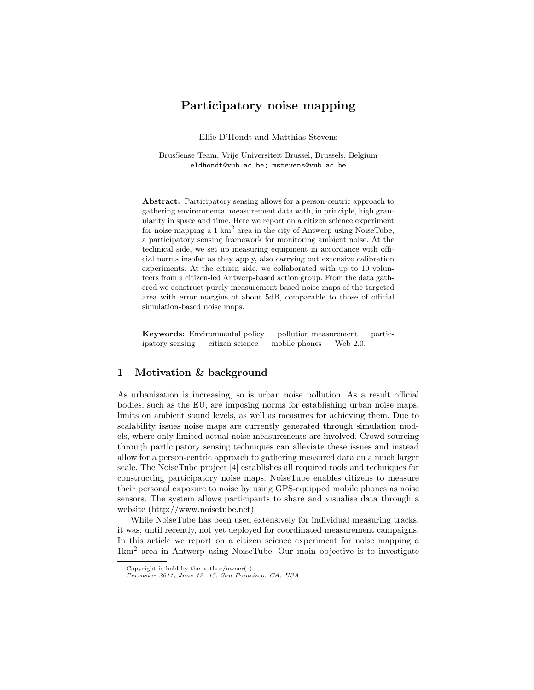## Participatory noise mapping

Ellie D'Hondt and Matthias Stevens

BrusSense Team, Vrije Universiteit Brussel, Brussels, Belgium eldhondt@vub.ac.be; mstevens@vub.ac.be

Abstract. Participatory sensing allows for a person-centric approach to gathering environmental measurement data with, in principle, high granularity in space and time. Here we report on a citizen science experiment for noise mapping a 1  $km^2$  area in the city of Antwerp using NoiseTube, a participatory sensing framework for monitoring ambient noise. At the technical side, we set up measuring equipment in accordance with official norms insofar as they apply, also carrying out extensive calibration experiments. At the citizen side, we collaborated with up to 10 volunteers from a citizen-led Antwerp-based action group. From the data gathered we construct purely measurement-based noise maps of the targeted area with error margins of about 5dB, comparable to those of official simulation-based noise maps.

Keywords: Environmental policy — pollution measurement — participatory sensing — citizen science — mobile phones — Web 2.0.

## 1 Motivation & background

As urbanisation is increasing, so is urban noise pollution. As a result official bodies, such as the EU, are imposing norms for establishing urban noise maps, limits on ambient sound levels, as well as measures for achieving them. Due to scalability issues noise maps are currently generated through simulation models, where only limited actual noise measurements are involved. Crowd-sourcing through participatory sensing techniques can alleviate these issues and instead allow for a person-centric approach to gathering measured data on a much larger scale. The NoiseTube project [4] establishes all required tools and techniques for constructing participatory noise maps. NoiseTube enables citizens to measure their personal exposure to noise by using GPS-equipped mobile phones as noise sensors. The system allows participants to share and visualise data through a website (http://www.noisetube.net).

While NoiseTube has been used extensively for individual measuring tracks, it was, until recently, not yet deployed for coordinated measurement campaigns. In this article we report on a citizen science experiment for noise mapping a 1km<sup>2</sup> area in Antwerp using NoiseTube. Our main objective is to investigate

Copyright is held by the author/owner(s).

Pervasive 2011, June 12 15, San Francisco, CA, USA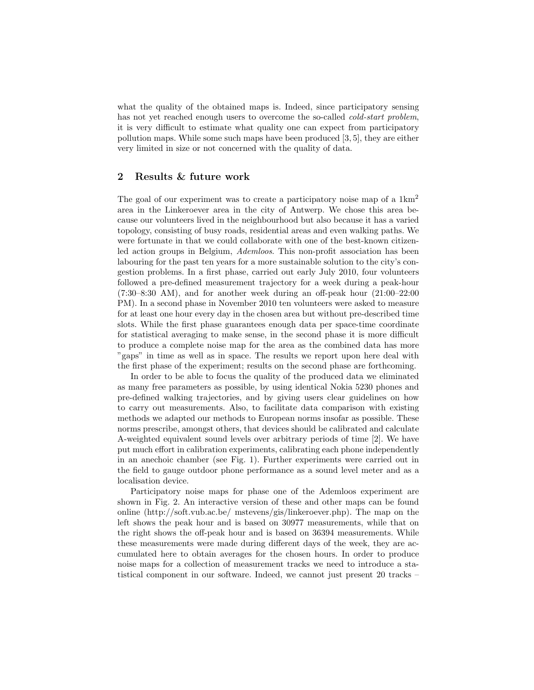what the quality of the obtained maps is. Indeed, since participatory sensing has not yet reached enough users to overcome the so-called cold-start problem, it is very difficult to estimate what quality one can expect from participatory pollution maps. While some such maps have been produced [3, 5], they are either very limited in size or not concerned with the quality of data.

## 2 Results & future work

The goal of our experiment was to create a participatory noise map of a  $1 \text{km}^2$ area in the Linkeroever area in the city of Antwerp. We chose this area because our volunteers lived in the neighbourhood but also because it has a varied topology, consisting of busy roads, residential areas and even walking paths. We were fortunate in that we could collaborate with one of the best-known citizenled action groups in Belgium, *Ademloos*. This non-profit association has been labouring for the past ten years for a more sustainable solution to the city's congestion problems. In a first phase, carried out early July 2010, four volunteers followed a pre-defined measurement trajectory for a week during a peak-hour (7:30–8:30 AM), and for another week during an off-peak hour (21:00–22:00 PM). In a second phase in November 2010 ten volunteers were asked to measure for at least one hour every day in the chosen area but without pre-described time slots. While the first phase guarantees enough data per space-time coordinate for statistical averaging to make sense, in the second phase it is more difficult to produce a complete noise map for the area as the combined data has more "gaps" in time as well as in space. The results we report upon here deal with the first phase of the experiment; results on the second phase are forthcoming.

In order to be able to focus the quality of the produced data we eliminated as many free parameters as possible, by using identical Nokia 5230 phones and pre-defined walking trajectories, and by giving users clear guidelines on how to carry out measurements. Also, to facilitate data comparison with existing methods we adapted our methods to European norms insofar as possible. These norms prescribe, amongst others, that devices should be calibrated and calculate A-weighted equivalent sound levels over arbitrary periods of time [2]. We have put much effort in calibration experiments, calibrating each phone independently in an anechoic chamber (see Fig. 1). Further experiments were carried out in the field to gauge outdoor phone performance as a sound level meter and as a localisation device.

Participatory noise maps for phase one of the Ademloos experiment are shown in Fig. 2. An interactive version of these and other maps can be found online (http://soft.vub.ac.be/ mstevens/gis/linkeroever.php). The map on the left shows the peak hour and is based on 30977 measurements, while that on the right shows the off-peak hour and is based on 36394 measurements. While these measurements were made during different days of the week, they are accumulated here to obtain averages for the chosen hours. In order to produce noise maps for a collection of measurement tracks we need to introduce a statistical component in our software. Indeed, we cannot just present 20 tracks –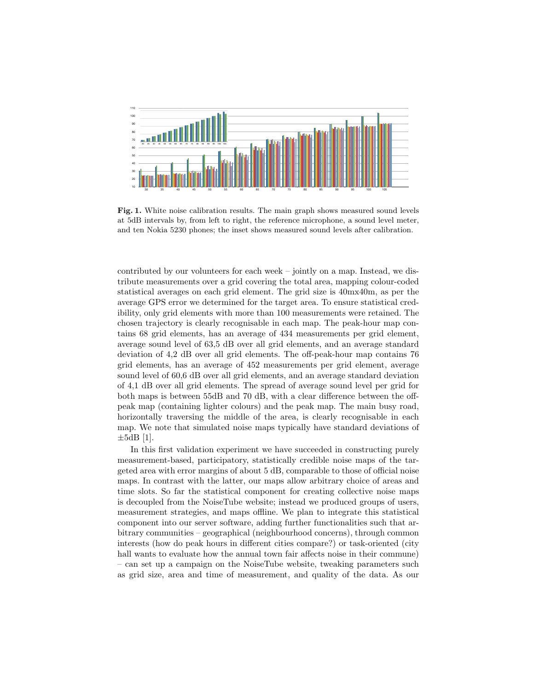

Fig. 1. White noise calibration results. The main graph shows measured sound levels at 5dB intervals by, from left to right, the reference microphone, a sound level meter, and ten Nokia 5230 phones; the inset shows measured sound levels after calibration.

contributed by our volunteers for each week – jointly on a map. Instead, we distribute measurements over a grid covering the total area, mapping colour-coded statistical averages on each grid element. The grid size is 40mx40m, as per the average GPS error we determined for the target area. To ensure statistical credibility, only grid elements with more than 100 measurements were retained. The chosen trajectory is clearly recognisable in each map. The peak-hour map contains 68 grid elements, has an average of 434 measurements per grid element, average sound level of 63,5 dB over all grid elements, and an average standard deviation of 4,2 dB over all grid elements. The off-peak-hour map contains 76 grid elements, has an average of 452 measurements per grid element, average sound level of 60,6 dB over all grid elements, and an average standard deviation of 4,1 dB over all grid elements. The spread of average sound level per grid for both maps is between 55dB and 70 dB, with a clear difference between the offpeak map (containing lighter colours) and the peak map. The main busy road, horizontally traversing the middle of the area, is clearly recognisable in each map. We note that simulated noise maps typically have standard deviations of  $\pm 5$ dB [1].

In this first validation experiment we have succeeded in constructing purely measurement-based, participatory, statistically credible noise maps of the targeted area with error margins of about 5 dB, comparable to those of official noise maps. In contrast with the latter, our maps allow arbitrary choice of areas and time slots. So far the statistical component for creating collective noise maps is decoupled from the NoiseTube website; instead we produced groups of users, measurement strategies, and maps offline. We plan to integrate this statistical component into our server software, adding further functionalities such that arbitrary communities – geographical (neighbourhood concerns), through common interests (how do peak hours in different cities compare?) or task-oriented (city hall wants to evaluate how the annual town fair affects noise in their commune) – can set up a campaign on the NoiseTube website, tweaking parameters such as grid size, area and time of measurement, and quality of the data. As our